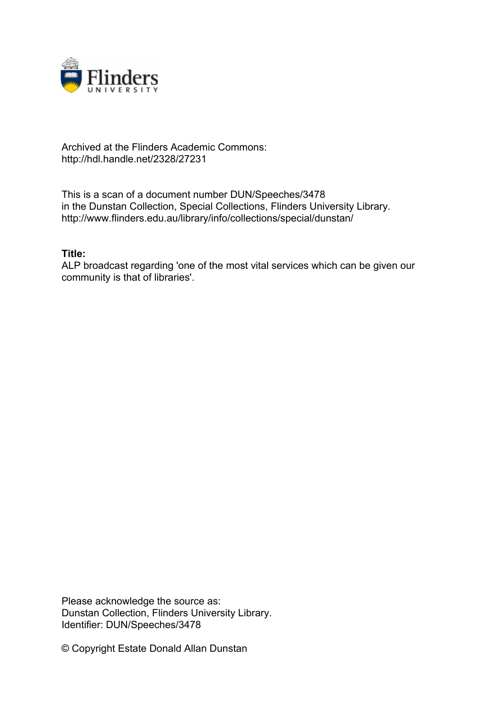

## Archived at the Flinders Academic Commons: http://hdl.handle.net/2328/27231

This is a scan of a document number DUN/Speeches/3478 in the Dunstan Collection, Special Collections, Flinders University Library. http://www.flinders.edu.au/library/info/collections/special/dunstan/

# **Title:**

ALP broadcast regarding 'one of the most vital services which can be given our community is that of libraries'.

Please acknowledge the source as: Dunstan Collection, Flinders University Library. Identifier: DUN/Speeches/3478

© Copyright Estate Donald Allan Dunstan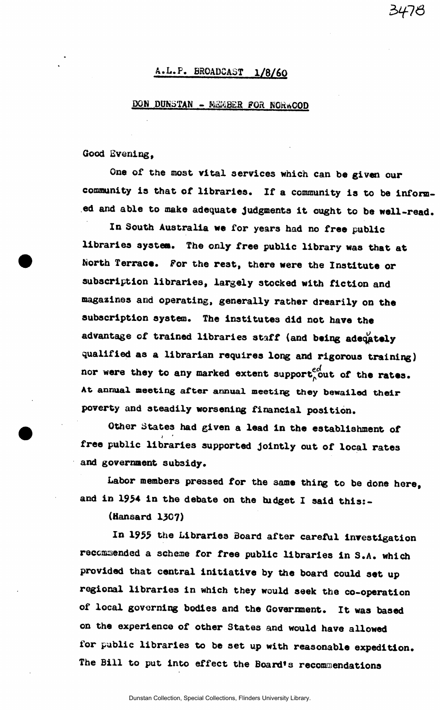## **A.L.P. BROADCAST 1/8/60**

#### **DON DUNSTAN - MEMBER FOR NGHWCOD**

**Good Evening,** 

**One of the most vital services which can be given our community is that of libraries. If a community is to be informed and able to make adequate judgments it ought to be well-read.** 

**3^7 6** 

**In South Australia we for years had no free public libraries systea. The only free public library was that at North Terrace. For the rest, there were the Institute or subscription libraries, largely stocked with fiction and magazines and operating, generally rather drearily on the subscription system. The institutes did not have the**  advantage of trained libraries staff (and being adeqately **qualified as a librarian requires long and rigorous training)**  *J*  **nor were they to any marked extent support^;out of the rates. At annual meeting after annual meetir^ they bewailed their poverty and steadily worsening financial position.** 

**Other States had given a lead in the establishment of free public libraries supported jointly out of local rates and government subsidy.** 

**Labor members pressed for the same thing to be done here, and in 1954 in the debate on the budget I said this:-**

**(Hansard 1307)** 

**In 1955 the Libraries Board after careful investigation reccmaended a scheme for free public libraries in S.A. which provided that central initiative by the board could set up regional libraries in which they would seek the co-operation of local governing bodies and the Government. It was based on the experience of other States and would have allowed for public libraries to be set up with reasonable expedition. The Bill to put into effect the Board\*s recommendations**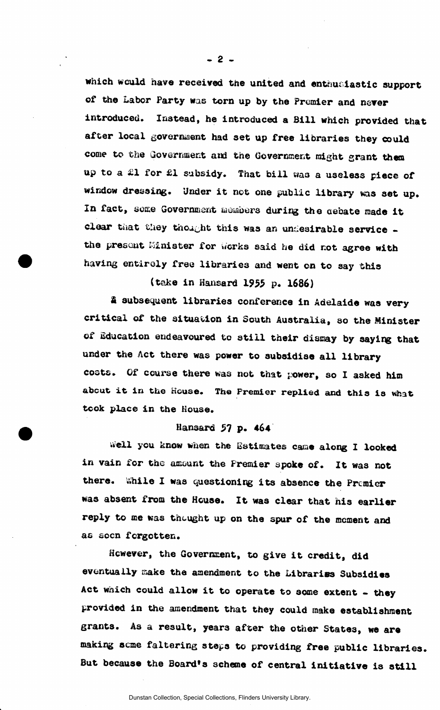**which would have received the united and enthusiastic support of the Labor Party was torn up by the Premier and never introduced. Instead, he introduced a Bill which provided that after local government had set up free libraries they could come to the Government and the Government might grant them up to a £1 for £1 subsidy. That bill was a useless piece of window dressing. Under it not one public library was set up.**  In fact, some Government members during the aebate made it **clear that Uiey thoa^ht this was** *an* **undesirable service the present Minister for works said he did not agree with having entirely free libraries and went on to say this** 

**(take in Hansard 1955 p. 1686)** 

**£ subsequent libraries conference in Adelaide was very critical of the situation in South Australia, so the Minister of Education endeavoured to still their dismay by saying that under the Act there was power to subsidise all library costs. Of course there was not that power, so I asked him about it in the House. The Premier replied and this is what took place in the House.** 

#### **Hansard S7 p. 464**

**well you know when the Estimates cazae along I looked in vain for the amount the Premier spoke of. It was not there. While I was questioning its absence the Premier was absent from the House. It was clear that his earlier**  reply to me was thought up on the spur of the moment and **as socn forgotten.** 

**However, the Government, to give it credit, did eventually sake the amendment to the Libraries Subsidies Act which could allow it to operate to some extent - they provided in the amendment that they could make establishment grants. As a result, years after the other States, we are making seme faltering steps to providing free public libraries. But because the Board's scheme of central Initiative is still** 

- 2 -